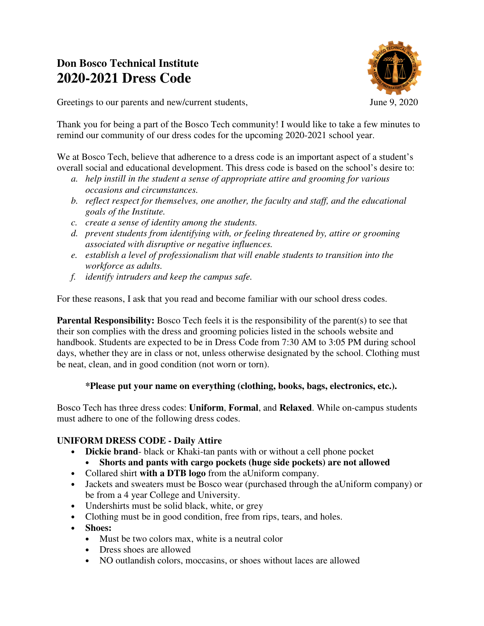# **Don Bosco Technical Institute 2020-2021 Dress Code**



Greetings to our parents and new/current students, June 9, 2020

Thank you for being a part of the Bosco Tech community! I would like to take a few minutes to remind our community of our dress codes for the upcoming 2020-2021 school year.

We at Bosco Tech, believe that adherence to a dress code is an important aspect of a student's overall social and educational development. This dress code is based on the school's desire to:

- *a. help instill in the student a sense of appropriate attire and grooming for various occasions and circumstances.*
- *b. reflect respect for themselves, one another, the faculty and staff, and the educational goals of the Institute.*
- *c. create a sense of identity among the students.*
- *d. prevent students from identifying with, or feeling threatened by, attire or grooming associated with disruptive or negative influences.*
- *e. establish a level of professionalism that will enable students to transition into the workforce as adults.*
- *f. identify intruders and keep the campus safe.*

For these reasons, I ask that you read and become familiar with our school dress codes.

**Parental Responsibility:** Bosco Tech feels it is the responsibility of the parent(s) to see that their son complies with the dress and grooming policies listed in the schools website and handbook. Students are expected to be in Dress Code from 7:30 AM to 3:05 PM during school days, whether they are in class or not, unless otherwise designated by the school. Clothing must be neat, clean, and in good condition (not worn or torn).

## **\*Please put your name on everything (clothing, books, bags, electronics, etc.).**

Bosco Tech has three dress codes: **Uniform**, **Formal**, and **Relaxed**. While on-campus students must adhere to one of the following dress codes.

## **UNIFORM DRESS CODE - Daily Attire**

- **Dickie brand** black or Khaki-tan pants with or without a cell phone pocket
	- **Shorts and pants with cargo pockets (huge side pockets) are not allowed**
- Collared shirt **with a DTB logo** from the aUniform company.
- Jackets and sweaters must be Bosco wear (purchased through the aUniform company) or be from a 4 year College and University.
- Undershirts must be solid black, white, or grey
- Clothing must be in good condition, free from rips, tears, and holes.
- **Shoes:**
	- Must be two colors max, white is a neutral color
	- Dress shoes are allowed
	- NO outlandish colors, moccasins, or shoes without laces are allowed